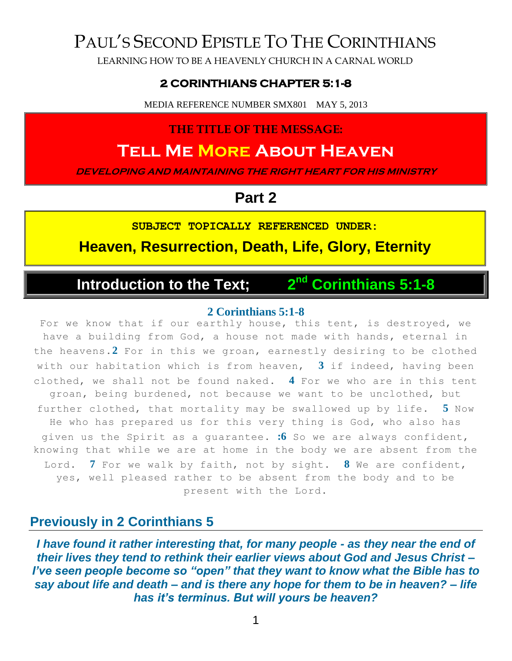## PAUL'S SECOND EPISTLE TO THE CORINTHIANS

LEARNING HOW TO BE A HEAVENLY CHURCH IN A CARNAL WORLD

### **2 CORINTHIANS CHAPTER 5:1-8**

MEDIA REFERENCE NUMBER SMX801 MAY 5, 2013

### **THE TITLE OF THE MESSAGE:**

## **Tell Me More About Heaven**

**DEVELOPING AND MAINTAINING THE RIGHT HEART FOR HIS MINISTRY**

### **Part 2**

**SUBJECT TOPICALLY REFERENCED UNDER:**

**Heaven, Resurrection, Death, Life, Glory, Eternity**

#### **Introduction to the Text;** 2<sup>nd</sup> **nd Corinthians 5:1-8**

#### **2 Corinthians 5:1-8**

For we know that if our earthly house, this tent, is destroyed, we have a building from God, a house not made with hands, eternal in the heavens.**2** For in this we groan, earnestly desiring to be clothed with our habitation which is from heaven, **3** if indeed, having been clothed, we shall not be found naked. **4** For we who are in this tent groan, being burdened, not because we want to be unclothed, but further clothed, that mortality may be swallowed up by life. **5** Now He who has prepared us for this very thing is God, who also has given us the Spirit as a guarantee. **:6** So we are always confident, knowing that while we are at home in the body we are absent from the Lord. **7** For we walk by faith, not by sight. **8** We are confident, yes, well pleased rather to be absent from the body and to be present with the Lord.

### **Previously in 2 Corinthians 5**

*I have found it rather interesting that, for many people - as they near the end of their lives they tend to rethink their earlier views about God and Jesus Christ – I've seen people become so "open" that they want to know what the Bible has to say about life and death – and is there any hope for them to be in heaven? – life has it's terminus. But will yours be heaven?*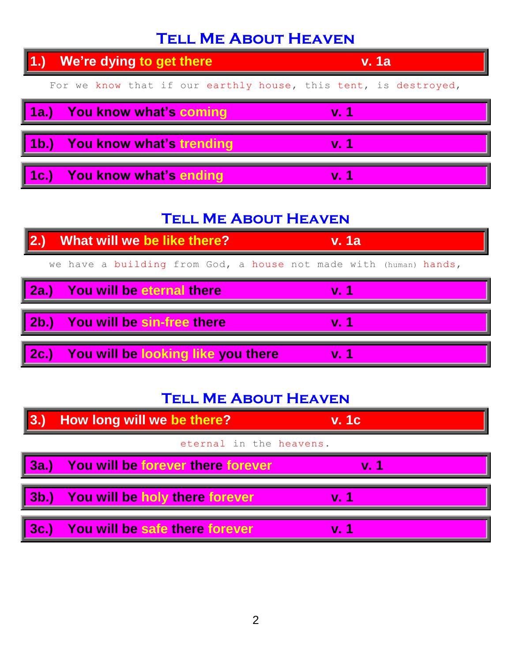## **Tell Me About Heaven**



## **Tell Me About Heaven**



## **Tell Me About Heaven**

| $\parallel$ 3.)         | How long will we be there?               | <b>v. 1c</b> |
|-------------------------|------------------------------------------|--------------|
| eternal in the heavens. |                                          |              |
| $\parallel$ 3a.)        | <b>You will be forever there forever</b> | $Vr$ 1       |
| $\sqrt{3b.}$            | You will be holy there forever           | $\bf{V}$ 1   |
| $\sqrt{3c}$             | You will be safe there forever           | $\bf{v}$ 1   |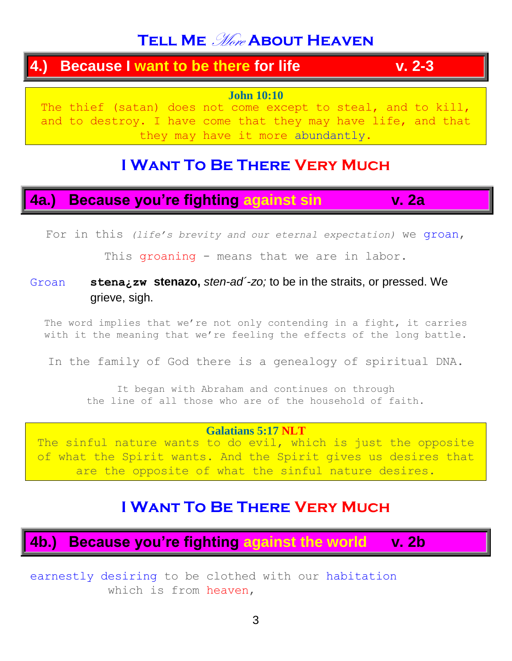## **TELL ME** *More* ABOUT HEAVEN

### **4.) Because I want to be there for life v. 2-3**

**John 10:10**

The thief (satan) does not come except to steal, and to kill, and to destroy. I have come that they may have life, and that they may have it more abundantly.

## **I Want To Be There Very Much**

## **4a.) Because you're fighting against sin v. 2a**

For in this *(life's brevity and our eternal expectation)* we groan,

This groaning - means that we are in labor.

### Groan **stena¿zw stenazo,** *sten-ad´-zo;* to be in the straits, or pressed. We grieve, sigh.

The word implies that we're not only contending in a fight, it carries with it the meaning that we're feeling the effects of the long battle.

In the family of God there is a genealogy of spiritual DNA.

It began with Abraham and continues on through the line of all those who are of the household of faith.

### **Galatians 5:17 NLT**

The sinful nature wants to do evil, which is just the opposite of what the Spirit wants. And the Spirit gives us desires that are the opposite of what the sinful nature desires.

## **I Want To Be There Very Much**

## **4b.) Because you're fighting against the world v. 2b**

earnestly desiring to be clothed with our habitation which is from heaven,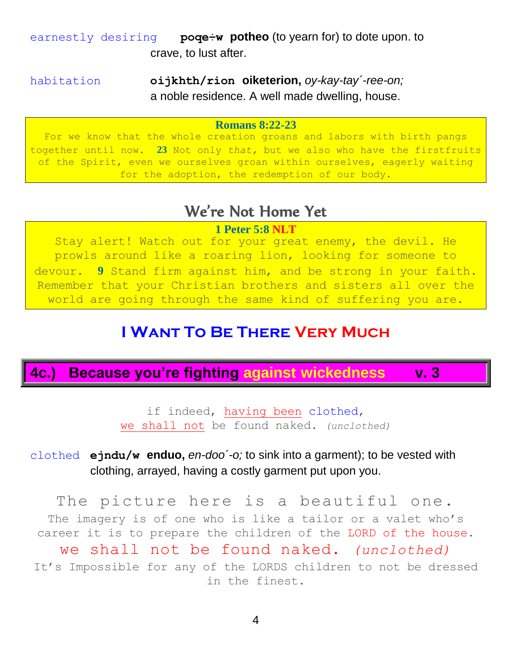earnestly desiring **poqe÷w potheo** (to yearn for) to dote upon. to crave, to lust after.

habitation **oijkhth/rion oiketerion,** *oy-kay-tay´-ree-on;* a noble residence. A well made dwelling, house.

#### **Romans 8:22-23**

For we know that the whole creation groans and labors with birth pangs together until now. **23** Not only *that,* but we also who have the firstfruits of the Spirit, even we ourselves groan within ourselves, eagerly waiting for the adoption, the redemption of our body.

### We're Not Home Yet

#### **1 Peter 5:8 NLT**

Stay alert! Watch out for your great enemy, the devil. He prowls around like a roaring lion, looking for someone to devour. **9** Stand firm against him, and be strong in your faith. Remember that your Christian brothers and sisters all over the world are going through the same kind of suffering you are.

## **I Want To Be There Very Much**

**4c.) Because you're fighting against wickedness v. 3**

if indeed, having been clothed, we shall not be found naked. *(unclothed)*

clothed **ejndu/w enduo,** *en-doo´-o;* to sink into a garment); to be vested with clothing, arrayed, having a costly garment put upon you.

The picture here is a beautiful one. The imagery is of one who is like a tailor or a valet who's career it is to prepare the children of the LORD of the house. we shall not be found naked. *(unclothed)* It's Impossible for any of the LORDS children to not be dressed in the finest.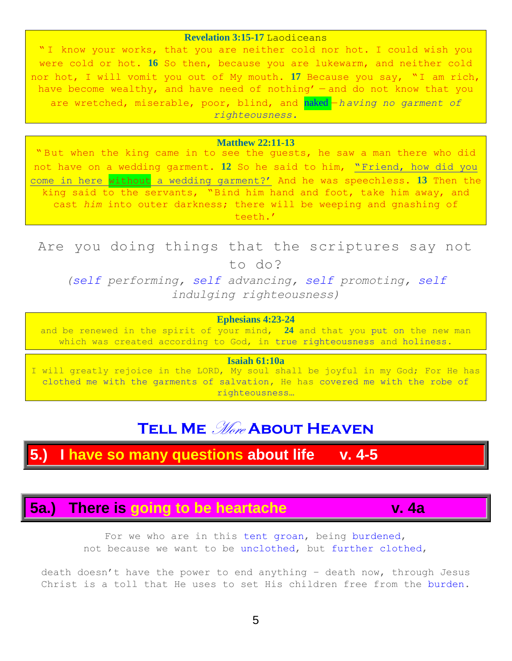#### **Revelation 3:15-17** Laodiceans

" I know your works, that you are neither cold nor hot. I could wish you were cold or hot. **16** So then, because you are lukewarm, and neither cold nor hot, I will vomit you out of My mouth. **17** Because you say, "I am rich, have become wealthy, and have need of nothing' — and do not know that you are wretched, miserable, poor, blind, and naked —*h aving no garment of righteousness.*

#### **Matthew 22:11-13**

" But when the king came in to see the guests, he saw a man there who did not have on a wedding garment. **12** So he said to him, "Friend, how did you come in here without a wedding garment?' And he was speechless. **13** Then the king said to the servants, "Bind him hand and foot, take him away, and cast *him* into outer darkness; there will be weeping and gnashing of teeth.'

Are you doing things that the scriptures say not to do?

*(self performing, self advancing, self promoting, self indulging righteousness)*

#### **Ephesians 4:23-24**

and be renewed in the spirit of your mind, **24** and that you put on the new man which was created according to God, in true righteousness and holiness.

**Isaiah 61:10a**

I will greatly rejoice in the LORD, My soul shall be joyful in my God; For He has clothed me with the garments of salvation, He has covered me with the robe of righteousness…

## **TELL ME** *More* ABOUT HEAVEN

### **5.) I have so many questions about life v. 4-5**

### **5a.) There is going to be heartache v. 4a**

For we who are in this tent groan, being burdened, not because we want to be unclothed, but further clothed,

death doesn't have the power to end anything – death now, through Jesus Christ is a toll that He uses to set His children free from the burden.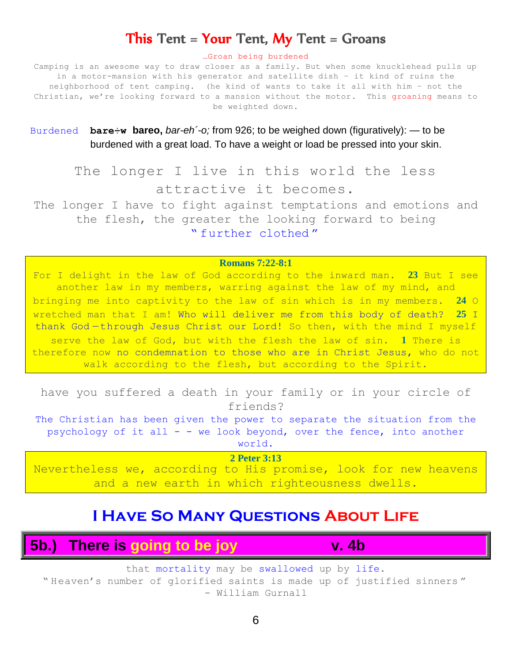### This Tent = Your Tent, My Tent = Groans

#### …Groan being burdened

Camping is an awesome way to draw closer as a family. But when some knucklehead pulls up in a motor-mansion with his generator and satellite dish – it kind of ruins the neighborhood of tent camping. (he kind of wants to take it all with him – not the Christian, we're looking forward to a mansion without the motor. This groaning means to be weighted down.

Burdened **bare÷w bareo,** *bar-eh´-o;* from 926; to be weighed down (figuratively): — to be burdened with a great load. To have a weight or load be pressed into your skin.

The longer I live in this world the less attractive it becomes.

The longer I have to fight against temptations and emotions and the flesh, the greater the looking forward to being " further clothed "

#### **Romans 7:22-8:1**

For I delight in the law of God according to the inward man. **23** But I see another law in my members, warring against the law of my mind, and bringing me into captivity to the law of sin which is in my members. **24** O wretched man that I am! Who will deliver me from this body of death? **25** I thank God-through Jesus Christ our Lord! So then, with the mind I myself serve the law of God, but with the flesh the law of sin. **1** There is therefore now no condemnation to those who are in Christ Jesus, who do not walk according to the flesh, but according to the Spirit.

have you suffered a death in your family or in your circle of friends?

The Christian has been given the power to separate the situation from the psychology of it all  $-$  - we look beyond, over the fence, into another world.

**2 Peter 3:13** Nevertheless we, according to His promise, look for new heavens and a new earth in which righteousness dwells.

### **I Have So Many Questions About Life**

**5b.) There is going to be joy v. 4b**

that mortality may be swallowed up by life.

" Heaven's number of glorified saints is made up of justified sinners " - William Gurnall